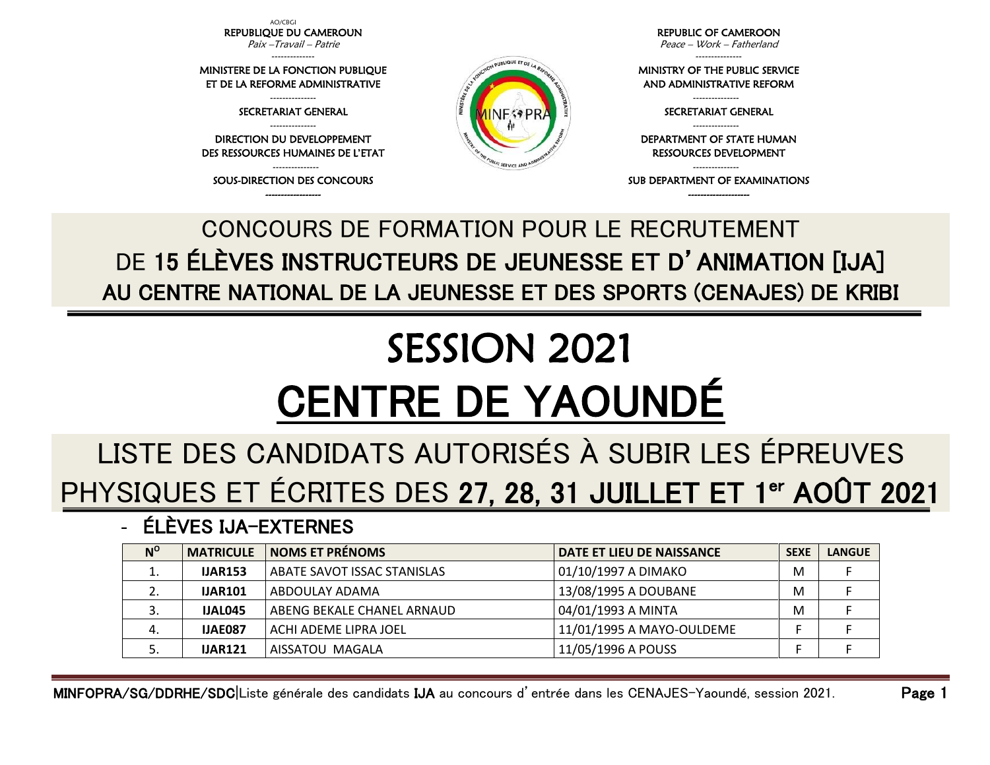AO/CBGI REPUBLIQUE DU CAMEROUN Paix –Travail – Patrie

--------------

MINISTERE DE LA FONCTION PUBLIQUE ET DE LA REFORME ADMINISTRATIVE

> --------------- SECRETARIAT GENERAL ---------------

DIRECTION DU DEVELOPPEMENT DES RESSOURCES HUMAINES DE L'ETAT

--------------- SOUS-DIRECTION DES CONCOURS ------------------

REPUBLIC OF CAMEROON Peace – Work – Fatherland

---------------

MINISTRY OF THE PUBLIC SERVICE AND ADMINISTRATIVE REFORM

RESSOURCES DEVELOPMENT

SUB DEPARTMENT OF EXAMINATIONS --------------------

DEPARTMENT OF STATE HUMAN

--------------- SECRETARIAT GENERAL ---------------

---------------

## DE 15 ÉLÈVES INSTRUCTEURS DE JEUNESSE ET D'ANIMATION [IJA] AU CENTRE NATIONAL DE LA JEUNESSE ET DES SPORTS (CENAJES) DE KRIBI

CONCOURS DE FORMATION POUR LE RECRUTEMENT

# SESSION 2021 CENTRE DE YAOUNDÉ

### LISTE DES CANDIDATS AUTORISÉS À SUBIR LES ÉPREUVES PHYSIQUES ET ÉCRITES DES 27, 28, 31 JUILLET ET 1<sup>er</sup> AOÛT 2021

#### - ÉLÈVES IJA-EXTERNES

| $N^{\rm o}$ | <b>MATRICULE</b> | <b>NOMS ET PRÉNOMS</b>      | <b>DATE ET LIEU DE NAISSANCE</b> | <b>SEXE</b> | <b>LANGUE</b> |
|-------------|------------------|-----------------------------|----------------------------------|-------------|---------------|
| ᅩ           | <b>IJAR153</b>   | ABATE SAVOT ISSAC STANISLAS | 01/10/1997 A DIMAKO              | M           |               |
| L.          | <b>IJAR101</b>   | ABDOULAY ADAMA              | 13/08/1995 A DOUBANE             | M           |               |
| כ.          | IJAL045          | ABENG BEKALE CHANEL ARNAUD  | 04/01/1993 A MINTA               | M           |               |
| 4.          | <b>IJAE087</b>   | ACHI ADEME LIPRA JOEL       | 11/01/1995 A MAYO-OULDEME        |             |               |
| J.          | <b>IJAR121</b>   | AISSATOU MAGALA             | 11/05/1996 A POUSS               |             |               |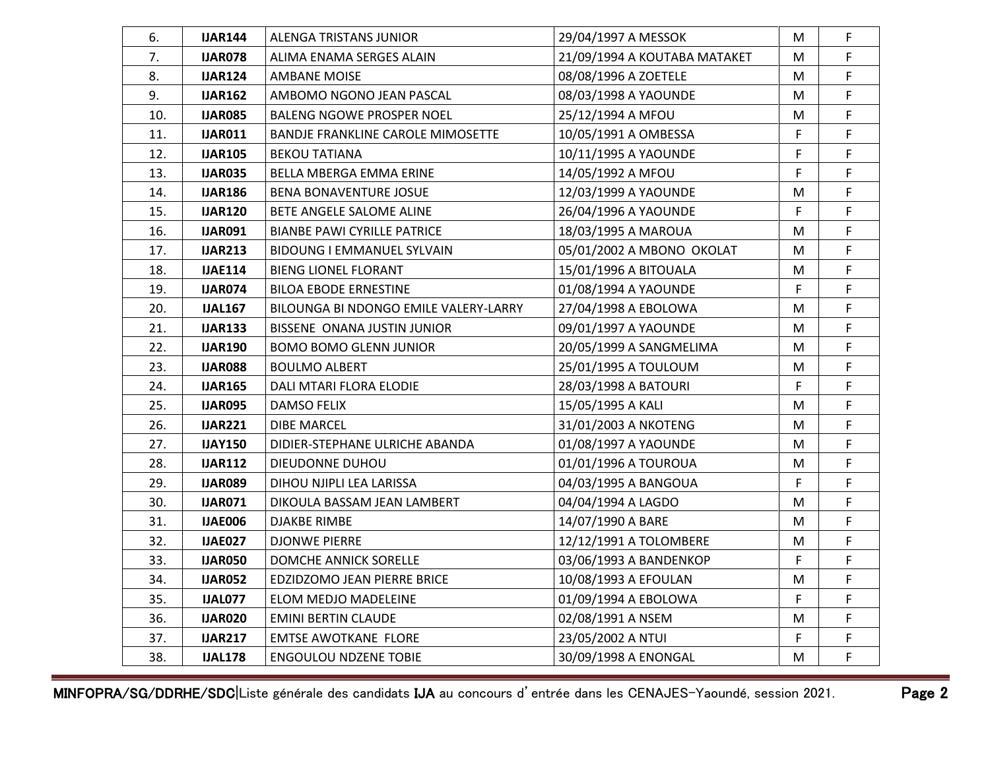| 6.  | <b>IJAR144</b> | ALENGA TRISTANS JUNIOR                   | 29/04/1997 A MESSOK          | M  | F |
|-----|----------------|------------------------------------------|------------------------------|----|---|
| 7.  | <b>IJAR078</b> | ALIMA ENAMA SERGES ALAIN                 | 21/09/1994 A KOUTABA MATAKET | M  | F |
| 8.  | <b>IJAR124</b> | AMBANE MOISE                             | 08/08/1996 A ZOETELE         | M  | F |
| 9.  | <b>IJAR162</b> | AMBOMO NGONO JEAN PASCAL                 | 08/03/1998 A YAOUNDE         | M  | F |
| 10. | <b>IJAR085</b> | BALENG NGOWE PROSPER NOEL                | 25/12/1994 A MFOU            | M  | F |
| 11. | <b>IJAR011</b> | <b>BANDJE FRANKLINE CAROLE MIMOSETTE</b> | 10/05/1991 A OMBESSA         | F  | F |
| 12. | <b>IJAR105</b> | <b>BEKOU TATIANA</b>                     | 10/11/1995 A YAOUNDE         | F  | F |
| 13. | <b>IJAR035</b> | BELLA MBERGA EMMA ERINE                  | 14/05/1992 A MFOU            | F  | F |
| 14. | <b>IJAR186</b> | <b>BENA BONAVENTURE JOSUE</b>            | 12/03/1999 A YAOUNDE         | M  | F |
| 15. | <b>IJAR120</b> | BETE ANGELE SALOME ALINE                 | 26/04/1996 A YAOUNDE         | F  | F |
| 16. | <b>IJAR091</b> | <b>BIANBE PAWI CYRILLE PATRICE</b>       | 18/03/1995 A MAROUA          | M  | F |
| 17. | <b>IJAR213</b> | <b>BIDOUNG I EMMANUEL SYLVAIN</b>        | 05/01/2002 A MBONO OKOLAT    | M  | F |
| 18. | <b>IJAE114</b> | <b>BIENG LIONEL FLORANT</b>              | 15/01/1996 A BITOUALA        | M  | F |
| 19. | <b>IJAR074</b> | <b>BILOA EBODE ERNESTINE</b>             | 01/08/1994 A YAOUNDE         | F  | F |
| 20. | <b>IJAL167</b> | BILOUNGA BI NDONGO EMILE VALERY-LARRY    | 27/04/1998 A EBOLOWA         | M  | F |
| 21. | <b>IJAR133</b> | BISSENE ONANA JUSTIN JUNIOR              | 09/01/1997 A YAOUNDE         | M  | F |
| 22. | <b>IJAR190</b> | <b>BOMO BOMO GLENN JUNIOR</b>            | 20/05/1999 A SANGMELIMA      | м  | F |
| 23. | <b>IJAR088</b> | <b>BOULMO ALBERT</b>                     | 25/01/1995 A TOULOUM         | M  | F |
| 24. | <b>IJAR165</b> | DALI MTARI FLORA ELODIE                  | 28/03/1998 A BATOURI         | F  | F |
| 25. | <b>IJAR095</b> | <b>DAMSO FELIX</b>                       | 15/05/1995 A KALI            | M  | F |
| 26. | <b>IJAR221</b> | <b>DIBE MARCEL</b>                       | 31/01/2003 A NKOTENG         | M  | F |
| 27. | <b>IJAY150</b> | DIDIER-STEPHANE ULRICHE ABANDA           | 01/08/1997 A YAOUNDE         | M  | F |
| 28. | <b>IJAR112</b> | DIEUDONNE DUHOU                          | 01/01/1996 A TOUROUA         | M  | F |
| 29. | <b>IJAR089</b> | DIHOU NJIPLI LEA LARISSA                 | 04/03/1995 A BANGOUA         | F  | F |
| 30. | <b>IJAR071</b> | DIKOULA BASSAM JEAN LAMBERT              | 04/04/1994 A LAGDO           | м  | F |
| 31. | <b>IJAE006</b> | DJAKBE RIMBE                             | 14/07/1990 A BARE            | M  | F |
| 32. | <b>IJAE027</b> | <b>DJONWE PIERRE</b>                     | 12/12/1991 A TOLOMBERE       | M  | F |
| 33. | <b>IJAR050</b> | DOMCHE ANNICK SORELLE                    | 03/06/1993 A BANDENKOP       | F  | F |
| 34. | <b>IJAR052</b> | EDZIDZOMO JEAN PIERRE BRICE              | 10/08/1993 A EFOULAN         | М  | F |
| 35. | IJAL077        | ELOM MEDJO MADELEINE                     | 01/09/1994 A EBOLOWA         | F. | F |
| 36. | <b>IJAR020</b> | <b>EMINI BERTIN CLAUDE</b>               | 02/08/1991 A NSEM            | M  | F |
| 37. | <b>IJAR217</b> | <b>EMTSE AWOTKANE FLORE</b>              | 23/05/2002 A NTUI            | F  | F |
| 38. | <b>IJAL178</b> | <b>ENGOULOU NDZENE TOBIE</b>             | 30/09/1998 A ENONGAL         | М  | F |
|     |                |                                          |                              |    |   |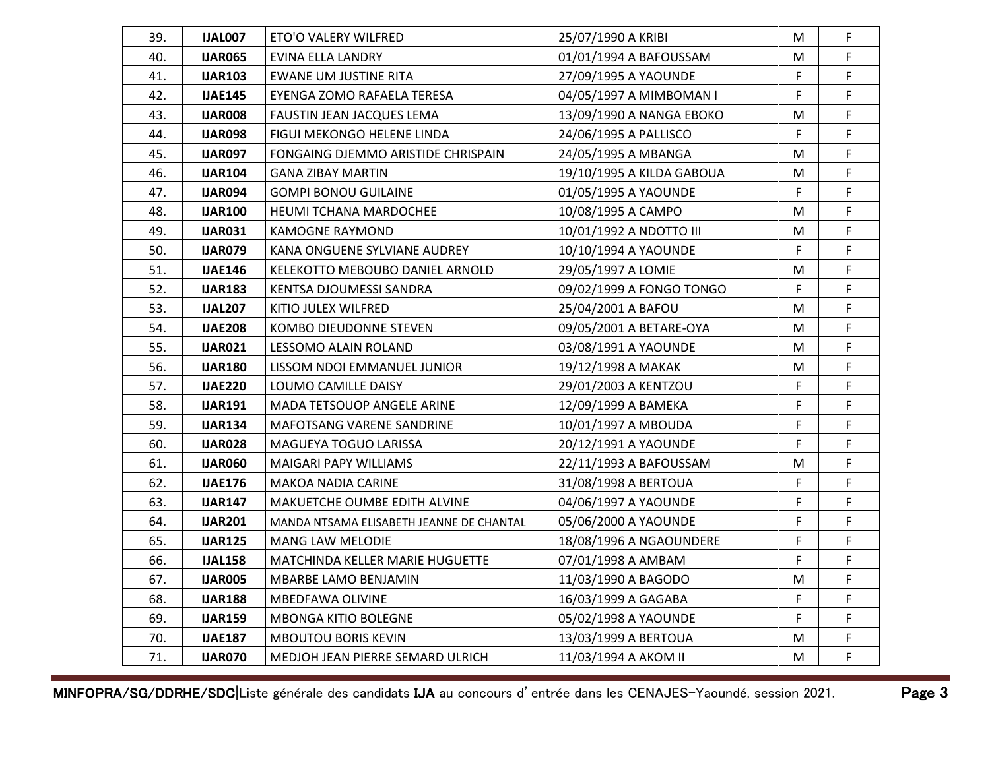| 39. | IJAL007        | ETO'O VALERY WILFRED                     | 25/07/1990 A KRIBI        | M  | F  |
|-----|----------------|------------------------------------------|---------------------------|----|----|
| 40. | <b>IJAR065</b> | EVINA ELLA LANDRY                        | 01/01/1994 A BAFOUSSAM    | M  | F  |
| 41. | <b>IJAR103</b> | EWANE UM JUSTINE RITA                    | 27/09/1995 A YAOUNDE      | F  | F  |
| 42. | <b>IJAE145</b> | EYENGA ZOMO RAFAELA TERESA               | 04/05/1997 A MIMBOMAN I   | F  | F  |
| 43. | <b>IJAR008</b> | FAUSTIN JEAN JACQUES LEMA                | 13/09/1990 A NANGA EBOKO  | М  | F  |
| 44. | <b>IJAR098</b> | FIGUI MEKONGO HELENE LINDA               | 24/06/1995 A PALLISCO     | F  | F  |
| 45. | <b>IJAR097</b> | FONGAING DJEMMO ARISTIDE CHRISPAIN       | 24/05/1995 A MBANGA       | M  | F  |
| 46. | <b>IJAR104</b> | GANA ZIBAY MARTIN                        | 19/10/1995 A KILDA GABOUA | M  | F  |
| 47. | IJAR094        | <b>GOMPI BONOU GUILAINE</b>              | 01/05/1995 A YAOUNDE      | F  | F  |
| 48. | <b>IJAR100</b> | <b>HEUMI TCHANA MARDOCHEE</b>            | 10/08/1995 A CAMPO        | М  | F  |
| 49. | <b>IJAR031</b> | KAMOGNE RAYMOND                          | 10/01/1992 A NDOTTO III   | м  | F. |
| 50. | <b>IJAR079</b> | KANA ONGUENE SYLVIANE AUDREY             | 10/10/1994 A YAOUNDE      | F  | F. |
| 51. | <b>IJAE146</b> | KELEKOTTO MEBOUBO DANIEL ARNOLD          | 29/05/1997 A LOMIE        | М  | F  |
| 52. | <b>IJAR183</b> | KENTSA DJOUMESSI SANDRA                  | 09/02/1999 A FONGO TONGO  | F. | F  |
| 53. | <b>IJAL207</b> | KITIO JULEX WILFRED                      | 25/04/2001 A BAFOU        | M  | F  |
| 54. | <b>IJAE208</b> | KOMBO DIEUDONNE STEVEN                   | 09/05/2001 A BETARE-OYA   | М  | F  |
| 55. | <b>IJAR021</b> | LESSOMO ALAIN ROLAND                     | 03/08/1991 A YAOUNDE      | M  | F. |
| 56. | <b>IJAR180</b> | LISSOM NDOI EMMANUEL JUNIOR              | 19/12/1998 A MAKAK        | М  | F  |
| 57. | <b>IJAE220</b> | LOUMO CAMILLE DAISY                      | 29/01/2003 A KENTZOU      | F  | F  |
| 58. | <b>IJAR191</b> | MADA TETSOUOP ANGELE ARINE               | 12/09/1999 A BAMEKA       | F  | F  |
| 59. | <b>IJAR134</b> | <b>MAFOTSANG VARENE SANDRINE</b>         | 10/01/1997 A MBOUDA       | F  | F  |
| 60. | <b>IJAR028</b> | MAGUEYA TOGUO LARISSA                    | 20/12/1991 A YAOUNDE      | F  | F  |
| 61. | <b>IJAR060</b> | MAIGARI PAPY WILLIAMS                    | 22/11/1993 A BAFOUSSAM    | M  | F  |
| 62. | <b>IJAE176</b> | MAKOA NADIA CARINE                       | 31/08/1998 A BERTOUA      | F  | F  |
| 63. | <b>IJAR147</b> | <b>MAKUETCHE OUMBE EDITH ALVINE</b>      | 04/06/1997 A YAOUNDE      | F  | F. |
| 64. | <b>IJAR201</b> | MANDA NTSAMA ELISABETH JEANNE DE CHANTAL | 05/06/2000 A YAOUNDE      | F  | F  |
| 65. | <b>IJAR125</b> | MANG LAW MELODIE                         | 18/08/1996 A NGAOUNDERE   | F  | F  |
| 66. | <b>IJAL158</b> | MATCHINDA KELLER MARIE HUGUETTE          | 07/01/1998 A AMBAM        | F  | F  |
| 67. | <b>IJAR005</b> | MBARBE LAMO BENJAMIN                     | 11/03/1990 A BAGODO       | М  | F  |
| 68. | <b>IJAR188</b> | MBEDFAWA OLIVINE                         | 16/03/1999 A GAGABA       | F  | F  |
| 69. | <b>IJAR159</b> | <b>MBONGA KITIO BOLEGNE</b>              | 05/02/1998 A YAOUNDE      | F. | F. |
| 70. | <b>IJAE187</b> | <b>MBOUTOU BORIS KEVIN</b>               | 13/03/1999 A BERTOUA      | M  | F  |
| 71. | <b>IJAR070</b> | MEDJOH JEAN PIERRE SEMARD ULRICH         | 11/03/1994 A AKOM II      | M  | F  |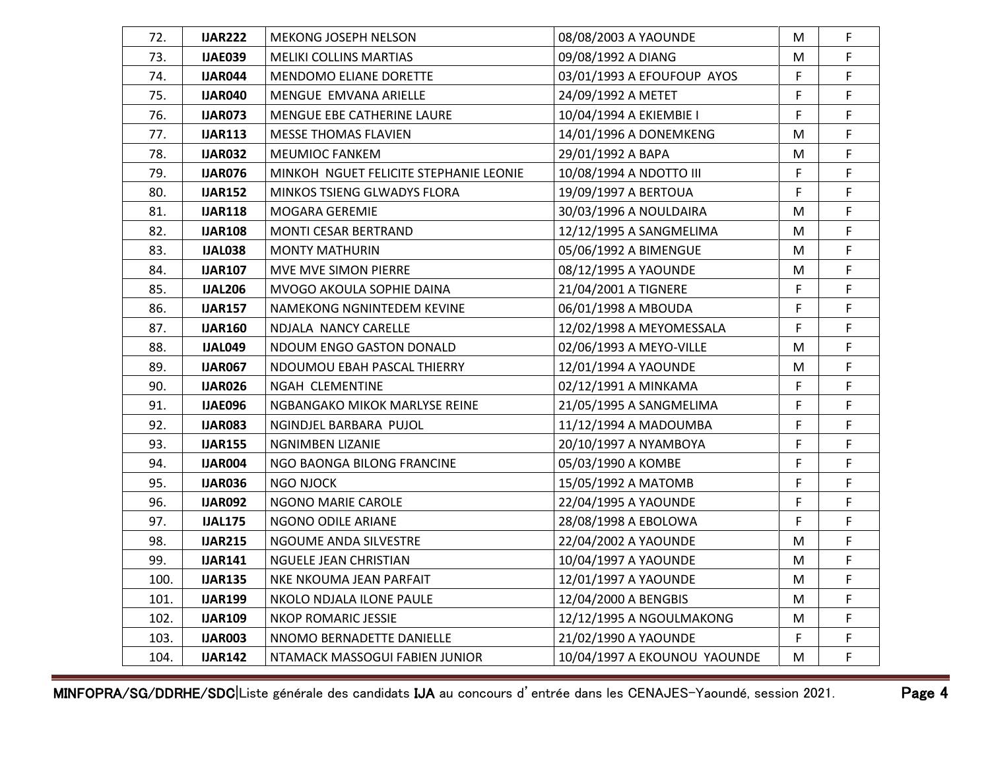| 72.  | <b>IJAR222</b> | <b>MEKONG JOSEPH NELSON</b>            | 08/08/2003 A YAOUNDE         | M | F |
|------|----------------|----------------------------------------|------------------------------|---|---|
| 73.  | <b>IJAE039</b> | <b>MELIKI COLLINS MARTIAS</b>          | 09/08/1992 A DIANG           | M | F |
| 74.  | IJAR044        | <b>MENDOMO ELIANE DORETTE</b>          | 03/01/1993 A EFOUFOUP AYOS   | F | F |
| 75.  | <b>IJAR040</b> | MENGUE EMVANA ARIELLE                  | 24/09/1992 A METET           | F | F |
| 76.  | <b>IJAR073</b> | MENGUE EBE CATHERINE LAURE             | 10/04/1994 A EKIEMBIE I      | F | F |
| 77.  | <b>IJAR113</b> | <b>MESSE THOMAS FLAVIEN</b>            | 14/01/1996 A DONEMKENG       | M | F |
| 78.  | <b>IJAR032</b> | <b>MEUMIOC FANKEM</b>                  | 29/01/1992 A BAPA            | M | F |
| 79.  | <b>IJAR076</b> | MINKOH NGUET FELICITE STEPHANIE LEONIE | 10/08/1994 A NDOTTO III      | F | F |
| 80.  | <b>IJAR152</b> | <b>MINKOS TSIENG GLWADYS FLORA</b>     | 19/09/1997 A BERTOUA         | F | F |
| 81.  | <b>IJAR118</b> | MOGARA GEREMIE                         | 30/03/1996 A NOULDAIRA       | M | F |
| 82.  | <b>IJAR108</b> | <b>MONTI CESAR BERTRAND</b>            | 12/12/1995 A SANGMELIMA      | M | F |
| 83.  | <b>IJAL038</b> | <b>MONTY MATHURIN</b>                  | 05/06/1992 A BIMENGUE        | M | F |
| 84.  | <b>IJAR107</b> | MVE MVE SIMON PIERRE                   | 08/12/1995 A YAOUNDE         | М | F |
| 85.  | <b>IJAL206</b> | MVOGO AKOULA SOPHIE DAINA              | 21/04/2001 A TIGNERE         | F | F |
| 86.  | <b>IJAR157</b> | NAMEKONG NGNINTEDEM KEVINE             | 06/01/1998 A MBOUDA          | F | F |
| 87.  | <b>IJAR160</b> | NDJALA NANCY CARELLE                   | 12/02/1998 A MEYOMESSALA     | F | F |
| 88.  | IJAL049        | NDOUM ENGO GASTON DONALD               | 02/06/1993 A MEYO-VILLE      | м | F |
| 89.  | <b>IJAR067</b> | NDOUMOU EBAH PASCAL THIERRY            | 12/01/1994 A YAOUNDE         | M | F |
| 90.  | <b>IJAR026</b> | NGAH CLEMENTINE                        | 02/12/1991 A MINKAMA         | F | F |
| 91.  | <b>IJAE096</b> | NGBANGAKO MIKOK MARLYSE REINE          | 21/05/1995 A SANGMELIMA      | F | F |
| 92.  | <b>IJAR083</b> | NGINDJEL BARBARA PUJOL                 | 11/12/1994 A MADOUMBA        | F | F |
| 93.  | <b>IJAR155</b> | NGNIMBEN LIZANIE                       | 20/10/1997 A NYAMBOYA        | F | F |
| 94.  | <b>IJAR004</b> | NGO BAONGA BILONG FRANCINE             | 05/03/1990 A KOMBE           | F | F |
| 95.  | <b>IJAR036</b> | NGO NJOCK                              | 15/05/1992 A MATOMB          | F | F |
| 96.  | <b>IJAR092</b> | NGONO MARIE CAROLE                     | 22/04/1995 A YAOUNDE         | F | F |
| 97.  | <b>IJAL175</b> | NGONO ODILE ARIANE                     | 28/08/1998 A EBOLOWA         | F | F |
| 98.  | <b>IJAR215</b> | NGOUME ANDA SILVESTRE                  | 22/04/2002 A YAOUNDE         | M | F |
| 99.  | <b>IJAR141</b> | NGUELE JEAN CHRISTIAN                  | 10/04/1997 A YAOUNDE         | М | F |
| 100. | <b>IJAR135</b> | NKE NKOUMA JEAN PARFAIT                | 12/01/1997 A YAOUNDE         | М | F |
| 101. | <b>IJAR199</b> | NKOLO NDJALA ILONE PAULE               | 12/04/2000 A BENGBIS         | М | F |
| 102. | <b>IJAR109</b> | NKOP ROMARIC JESSIE                    | 12/12/1995 A NGOULMAKONG     | M | F |
| 103. | <b>IJAR003</b> | NNOMO BERNADETTE DANIELLE              | 21/02/1990 A YAOUNDE         | F | F |
| 104. | <b>IJAR142</b> | NTAMACK MASSOGUI FABIEN JUNIOR         | 10/04/1997 A EKOUNOU YAOUNDE | М | F |
|      |                |                                        |                              |   |   |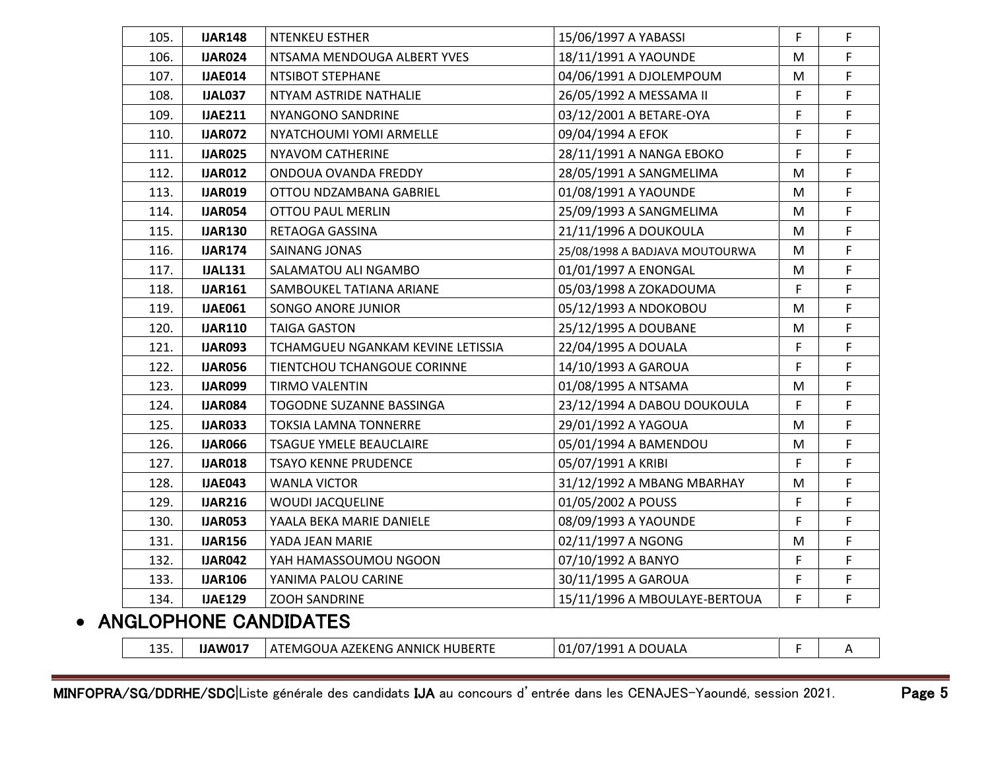| 105. | <b>IJAR148</b> | <b>NTENKEU ESTHER</b>             | 15/06/1997 A YABASSI           | F | $\mathsf F$ |
|------|----------------|-----------------------------------|--------------------------------|---|-------------|
| 106. | <b>IJAR024</b> | NTSAMA MENDOUGA ALBERT YVES       | 18/11/1991 A YAOUNDE           | M | F           |
| 107. | <b>IJAE014</b> | NTSIBOT STEPHANE                  | 04/06/1991 A DJOLEMPOUM        | M | F           |
| 108. | <b>IJAL037</b> | NTYAM ASTRIDE NATHALIE            | 26/05/1992 A MESSAMA II        | F | F           |
| 109. | <b>IJAE211</b> | NYANGONO SANDRINE                 | 03/12/2001 A BETARE-OYA        | F | F           |
| 110. | <b>IJAR072</b> | NYATCHOUMI YOMI ARMELLE           | 09/04/1994 A EFOK              | F | F.          |
| 111. | <b>IJAR025</b> | NYAVOM CATHERINE                  | 28/11/1991 A NANGA EBOKO       | F | F           |
| 112. | <b>IJAR012</b> | ONDOUA OVANDA FREDDY              | 28/05/1991 A SANGMELIMA        | M | F           |
| 113. | <b>IJAR019</b> | OTTOU NDZAMBANA GABRIEL           | 01/08/1991 A YAOUNDE           | M | F           |
| 114. | <b>IJAR054</b> | <b>OTTOU PAUL MERLIN</b>          | 25/09/1993 A SANGMELIMA        | M | F           |
| 115. | <b>IJAR130</b> | RETAOGA GASSINA                   | 21/11/1996 A DOUKOULA          | M | F.          |
| 116. | <b>IJAR174</b> | <b>SAINANG JONAS</b>              | 25/08/1998 A BADJAVA MOUTOURWA | M | F           |
| 117. | <b>IJAL131</b> | SALAMATOU ALI NGAMBO              | 01/01/1997 A ENONGAL           | M | F           |
| 118. | <b>IJAR161</b> | SAMBOUKEL TATIANA ARIANE          | 05/03/1998 A ZOKADOUMA         | F | F           |
| 119. | <b>IJAE061</b> | SONGO ANORE JUNIOR                | 05/12/1993 A NDOKOBOU          | M | F           |
| 120. | <b>IJAR110</b> | <b>TAIGA GASTON</b>               | 25/12/1995 A DOUBANE           | M | F           |
| 121. | <b>IJAR093</b> | TCHAMGUEU NGANKAM KEVINE LETISSIA | 22/04/1995 A DOUALA            | F | F           |
| 122. | <b>IJAR056</b> | TIENTCHOU TCHANGOUE CORINNE       | 14/10/1993 A GAROUA            | F | F           |
| 123. | <b>IJAR099</b> | TIRMO VALENTIN                    | 01/08/1995 A NTSAMA            | M | F           |
| 124. | <b>IJAR084</b> | TOGODNE SUZANNE BASSINGA          | 23/12/1994 A DABOU DOUKOULA    | F | F.          |
| 125. | <b>IJAR033</b> | TOKSIA LAMNA TONNERRE             | 29/01/1992 A YAGOUA            | M | F           |
| 126. | <b>IJAR066</b> | <b>TSAGUE YMELE BEAUCLAIRE</b>    | 05/01/1994 A BAMENDOU          | M | F           |
| 127. | <b>IJAR018</b> | TSAYO KENNE PRUDENCE              | 05/07/1991 A KRIBI             | F | F           |
| 128. | <b>IJAE043</b> | <b>WANLA VICTOR</b>               | 31/12/1992 A MBANG MBARHAY     | M | F           |
| 129. | <b>IJAR216</b> | <b>WOUDI JACQUELINE</b>           | 01/05/2002 A POUSS             | F | F           |
| 130. | <b>IJAR053</b> | YAALA BEKA MARIE DANIELE          | 08/09/1993 A YAOUNDE           | F | F           |
| 131. | <b>IJAR156</b> | YADA JEAN MARIE                   | 02/11/1997 A NGONG             | M | F.          |
| 132. | <b>IJAR042</b> | YAH HAMASSOUMOU NGOON             | 07/10/1992 A BANYO             | F | F           |
| 133. | <b>IJAR106</b> | YANIMA PALOU CARINE               | 30/11/1995 A GAROUA            | F | F.          |
| 134. | <b>IJAE129</b> | <b>ZOOH SANDRINE</b>              | 15/11/1996 A MBOULAYE-BERTOUA  | F | F           |
|      |                | שבו המוחומה המוחדשה ומו           |                                |   |             |

#### • ANGLOPHONE CANDIDATES

| 12E<br>⊥ລວ | $IIANOM^-$ | <b>ANNIC</b><br>ENG.<br>.<br>. <i>. .</i> .<br>·MG<br>$\Lambda$<br>- AZ L<br>пı<br><b>TUDENIL</b><br>≣ IN E | DOUAL,<br>$\mathbf{A}$<br><b>001</b> |  |
|------------|------------|-------------------------------------------------------------------------------------------------------------|--------------------------------------|--|
|            |            |                                                                                                             |                                      |  |